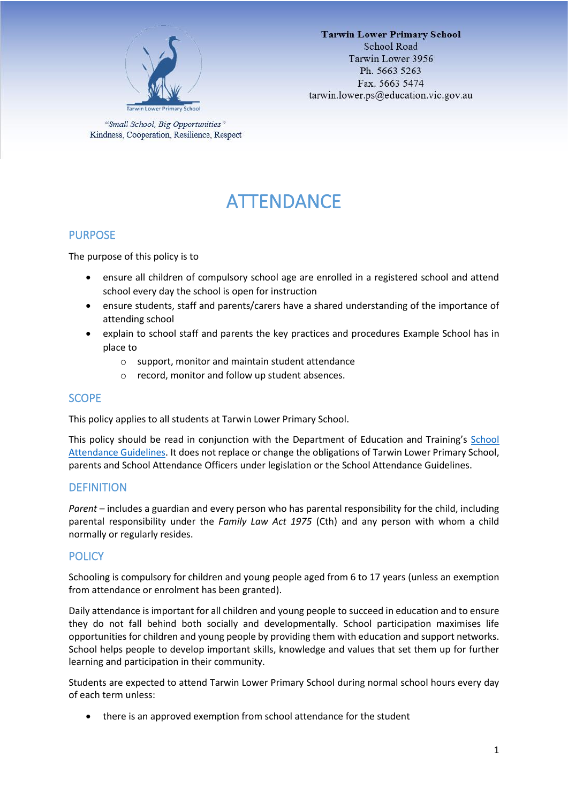

"Small School, Big Opportunities" Kindness, Cooperation, Resilience, Respect

# ATTENDANCE

# PURPOSE

The purpose of this policy is to

- ensure all children of compulsory school age are enrolled in a registered school and attend school every day the school is open for instruction
- ensure students, staff and parents/carers have a shared understanding of the importance of attending school
- explain to school staff and parents the key practices and procedures Example School has in place to
	- o support, monitor and maintain student attendance
	- o record, monitor and follow up student absences.

## **SCOPE**

This policy applies to all students at Tarwin Lower Primary School.

This policy should be read in conjunction with the Department of Education and Training's School [Attendance Guidelines.](https://www2.education.vic.gov.au/pal/attendance/guidance) It does not replace or change the obligations of Tarwin Lower Primary School, parents and School Attendance Officers under legislation or the School Attendance Guidelines.

## **DEFINITION**

*Parent* – includes a guardian and every person who has parental responsibility for the child, including parental responsibility under the *Family Law Act 1975* (Cth) and any person with whom a child normally or regularly resides.

# **POLICY**

Schooling is compulsory for children and young people aged from 6 to 17 years (unless an exemption from attendance or enrolment has been granted).

Daily attendance is important for all children and young people to succeed in education and to ensure they do not fall behind both socially and developmentally. School participation maximises life opportunities for children and young people by providing them with education and support networks. School helps people to develop important skills, knowledge and values that set them up for further learning and participation in their community.

Students are expected to attend Tarwin Lower Primary School during normal school hours every day of each term unless:

• there is an approved exemption from school attendance for the student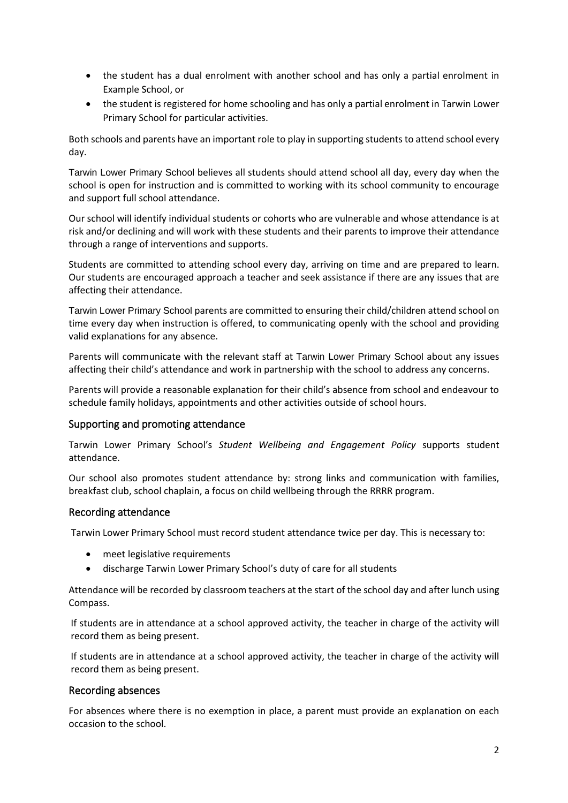- the student has a dual enrolment with another school and has only a partial enrolment in Example School, or
- the student is registered for home schooling and has only a partial enrolment in Tarwin Lower Primary School for particular activities.

Both schools and parents have an important role to play in supporting students to attend school every day.

Tarwin Lower Primary School believes all students should attend school all day, every day when the school is open for instruction and is committed to working with its school community to encourage and support full school attendance.

Our school will identify individual students or cohorts who are vulnerable and whose attendance is at risk and/or declining and will work with these students and their parents to improve their attendance through a range of interventions and supports.

Students are committed to attending school every day, arriving on time and are prepared to learn. Our students are encouraged approach a teacher and seek assistance if there are any issues that are affecting their attendance.

Tarwin Lower Primary School parents are committed to ensuring their child/children attend school on time every day when instruction is offered, to communicating openly with the school and providing valid explanations for any absence.

Parents will communicate with the relevant staff at Tarwin Lower Primary School about any issues affecting their child's attendance and work in partnership with the school to address any concerns.

Parents will provide a reasonable explanation for their child's absence from school and endeavour to schedule family holidays, appointments and other activities outside of school hours.

## Supporting and promoting attendance

Tarwin Lower Primary School's *Student Wellbeing and Engagement Policy* supports student attendance.

Our school also promotes student attendance by: strong links and communication with families, breakfast club, school chaplain, a focus on child wellbeing through the RRRR program.

#### Recording attendance

Tarwin Lower Primary School must record student attendance twice per day. This is necessary to:

- meet legislative requirements
- discharge Tarwin Lower Primary School's duty of care for all students

Attendance will be recorded by classroom teachers at the start of the school day and after lunch using Compass.

If students are in attendance at a school approved activity, the teacher in charge of the activity will record them as being present.

If students are in attendance at a school approved activity, the teacher in charge of the activity will record them as being present.

#### Recording absences

For absences where there is no exemption in place, a parent must provide an explanation on each occasion to the school.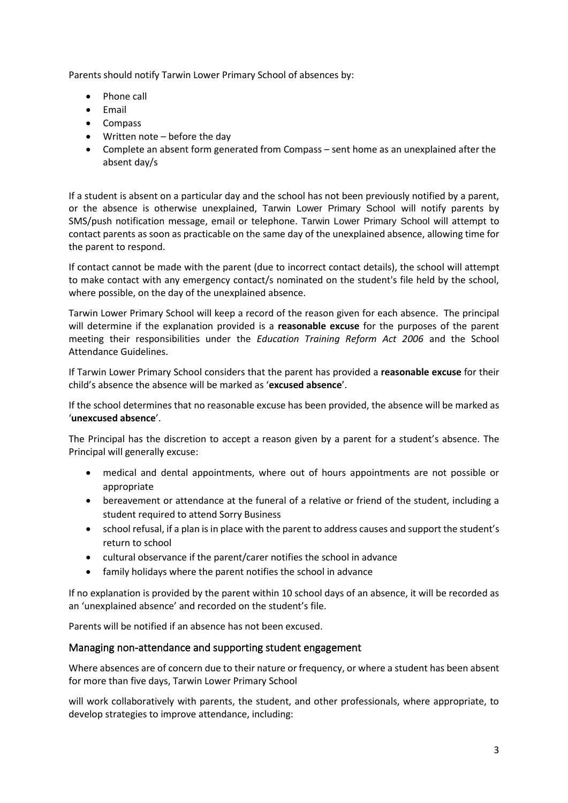Parents should notify Tarwin Lower Primary School of absences by:

- Phone call
- Email
- Compass
- Written note before the day
- Complete an absent form generated from Compass sent home as an unexplained after the absent day/s

If a student is absent on a particular day and the school has not been previously notified by a parent, or the absence is otherwise unexplained, Tarwin Lower Primary School will notify parents by SMS/push notification message, email or telephone. Tarwin Lower Primary School will attempt to contact parents as soon as practicable on the same day of the unexplained absence, allowing time for the parent to respond.

If contact cannot be made with the parent (due to incorrect contact details), the school will attempt to make contact with any emergency contact/s nominated on the student's file held by the school, where possible, on the day of the unexplained absence.

Tarwin Lower Primary School will keep a record of the reason given for each absence. The principal will determine if the explanation provided is a **reasonable excuse** for the purposes of the parent meeting their responsibilities under the *Education Training Reform Act 2006* and the School Attendance Guidelines.

If Tarwin Lower Primary School considers that the parent has provided a **reasonable excuse** for their child's absence the absence will be marked as '**excused absence**'.

If the school determines that no reasonable excuse has been provided, the absence will be marked as '**unexcused absence**'.

The Principal has the discretion to accept a reason given by a parent for a student's absence. The Principal will generally excuse:

- medical and dental appointments, where out of hours appointments are not possible or appropriate
- bereavement or attendance at the funeral of a relative or friend of the student, including a student required to attend Sorry Business
- school refusal, if a plan is in place with the parent to address causes and support the student's return to school
- cultural observance if the parent/carer notifies the school in advance
- family holidays where the parent notifies the school in advance

If no explanation is provided by the parent within 10 school days of an absence, it will be recorded as an 'unexplained absence' and recorded on the student's file.

Parents will be notified if an absence has not been excused.

#### Managing non-attendance and supporting student engagement

Where absences are of concern due to their nature or frequency, or where a student has been absent for more than five days, Tarwin Lower Primary School

will work collaboratively with parents, the student, and other professionals, where appropriate, to develop strategies to improve attendance, including: